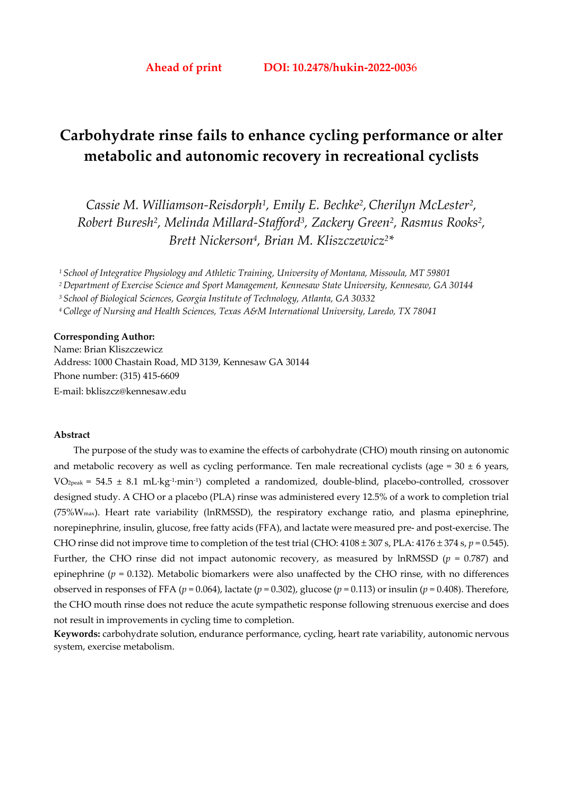# **Carbohydrate rinse fails to enhance cycling performance or alter metabolic and autonomic recovery in recreational cyclists**

*Cassie M. Williamson-Reisdorph1, Emily E. Bechke2,Cherilyn McLester2, Robert Buresh2, Melinda Millard-Stafford3, Zackery Green2, Rasmus Rooks2, Brett Nickerson4, Brian M. Kliszczewicz2\** 

*1 School of Integrative Physiology and Athletic Training, University of Montana, Missoula, MT 59801* 

*2 Department of Exercise Science and Sport Management, Kennesaw State University, Kennesaw, GA 30144* 

*3 School of Biological Sciences, Georgia Institute of Technology, Atlanta, GA 30332* 

*4 College of Nursing and Health Sciences, Texas A&M International University, Laredo, TX 78041* 

#### **Corresponding Author:**

Name: Brian Kliszczewicz Address: 1000 Chastain Road, MD 3139, Kennesaw GA 30144 Phone number: (315) 415-6609 E-mail: bkliszcz@kennesaw.edu

#### **Abstract**

The purpose of the study was to examine the effects of carbohydrate (CHO) mouth rinsing on autonomic and metabolic recovery as well as cycling performance. Ten male recreational cyclists (age =  $30 \pm 6$  years, VO2peak = 54.5 ± 8.1 mL·kg-1·min-1) completed a randomized, double-blind, placebo-controlled, crossover designed study. A CHO or a placebo (PLA) rinse was administered every 12.5% of a work to completion trial (75%Wmax). Heart rate variability (lnRMSSD), the respiratory exchange ratio, and plasma epinephrine, norepinephrine, insulin, glucose, free fatty acids (FFA), and lactate were measured pre- and post-exercise. The CHO rinse did not improve time to completion of the test trial (CHO:  $4108 \pm 307$  s, PLA:  $4176 \pm 374$  s,  $p = 0.545$ ). Further, the CHO rinse did not impact autonomic recovery, as measured by  $\text{lnRMSSD}$  ( $p = 0.787$ ) and epinephrine ( $p = 0.132$ ). Metabolic biomarkers were also unaffected by the CHO rinse, with no differences observed in responses of FFA ( $p = 0.064$ ), lactate ( $p = 0.302$ ), glucose ( $p = 0.113$ ) or insulin ( $p = 0.408$ ). Therefore, the CHO mouth rinse does not reduce the acute sympathetic response following strenuous exercise and does not result in improvements in cycling time to completion.

**Keywords:** carbohydrate solution, endurance performance, cycling, heart rate variability, autonomic nervous system, exercise metabolism.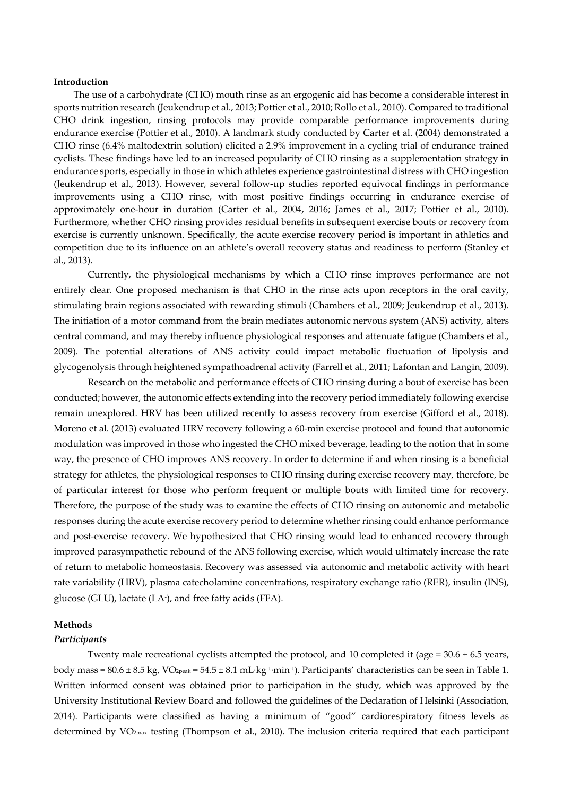#### **Introduction**

The use of a carbohydrate (CHO) mouth rinse as an ergogenic aid has become a considerable interest in sports nutrition research (Jeukendrup et al., 2013; Pottier et al., 2010; Rollo et al., 2010). Compared to traditional CHO drink ingestion, rinsing protocols may provide comparable performance improvements during endurance exercise (Pottier et al., 2010). A landmark study conducted by Carter et al. (2004) demonstrated a CHO rinse (6.4% maltodextrin solution) elicited a 2.9% improvement in a cycling trial of endurance trained cyclists. These findings have led to an increased popularity of CHO rinsing as a supplementation strategy in endurance sports, especially in those in which athletes experience gastrointestinal distress with CHO ingestion (Jeukendrup et al., 2013). However, several follow-up studies reported equivocal findings in performance improvements using a CHO rinse, with most positive findings occurring in endurance exercise of approximately one-hour in duration (Carter et al., 2004, 2016; James et al., 2017; Pottier et al., 2010). Furthermore, whether CHO rinsing provides residual benefits in subsequent exercise bouts or recovery from exercise is currently unknown. Specifically, the acute exercise recovery period is important in athletics and competition due to its influence on an athlete's overall recovery status and readiness to perform (Stanley et al., 2013).

Currently, the physiological mechanisms by which a CHO rinse improves performance are not entirely clear. One proposed mechanism is that CHO in the rinse acts upon receptors in the oral cavity, stimulating brain regions associated with rewarding stimuli (Chambers et al., 2009; Jeukendrup et al., 2013). The initiation of a motor command from the brain mediates autonomic nervous system (ANS) activity, alters central command, and may thereby influence physiological responses and attenuate fatigue (Chambers et al., 2009). The potential alterations of ANS activity could impact metabolic fluctuation of lipolysis and glycogenolysis through heightened sympathoadrenal activity (Farrell et al., 2011; Lafontan and Langin, 2009).

Research on the metabolic and performance effects of CHO rinsing during a bout of exercise has been conducted; however, the autonomic effects extending into the recovery period immediately following exercise remain unexplored. HRV has been utilized recently to assess recovery from exercise (Gifford et al., 2018). Moreno et al. (2013) evaluated HRV recovery following a 60-min exercise protocol and found that autonomic modulation was improved in those who ingested the CHO mixed beverage, leading to the notion that in some way, the presence of CHO improves ANS recovery. In order to determine if and when rinsing is a beneficial strategy for athletes, the physiological responses to CHO rinsing during exercise recovery may, therefore, be of particular interest for those who perform frequent or multiple bouts with limited time for recovery. Therefore, the purpose of the study was to examine the effects of CHO rinsing on autonomic and metabolic responses during the acute exercise recovery period to determine whether rinsing could enhance performance and post-exercise recovery. We hypothesized that CHO rinsing would lead to enhanced recovery through improved parasympathetic rebound of the ANS following exercise, which would ultimately increase the rate of return to metabolic homeostasis. Recovery was assessed via autonomic and metabolic activity with heart rate variability (HRV), plasma catecholamine concentrations, respiratory exchange ratio (RER), insulin (INS), glucose (GLU), lactate (LA- ), and free fatty acids (FFA).

#### **Methods**

#### *Participants*

Twenty male recreational cyclists attempted the protocol, and 10 completed it (age =  $30.6 \pm 6.5$  years, body mass =  $80.6 \pm 8.5$  kg,  $VO_{2peak}$  =  $54.5 \pm 8.1$  mL·kg<sup>-1</sup>·min<sup>-1</sup>). Participants' characteristics can be seen in Table 1. Written informed consent was obtained prior to participation in the study, which was approved by the University Institutional Review Board and followed the guidelines of the Declaration of Helsinki (Association, 2014). Participants were classified as having a minimum of "good" cardiorespiratory fitness levels as determined by VO<sub>2max</sub> testing (Thompson et al., 2010). The inclusion criteria required that each participant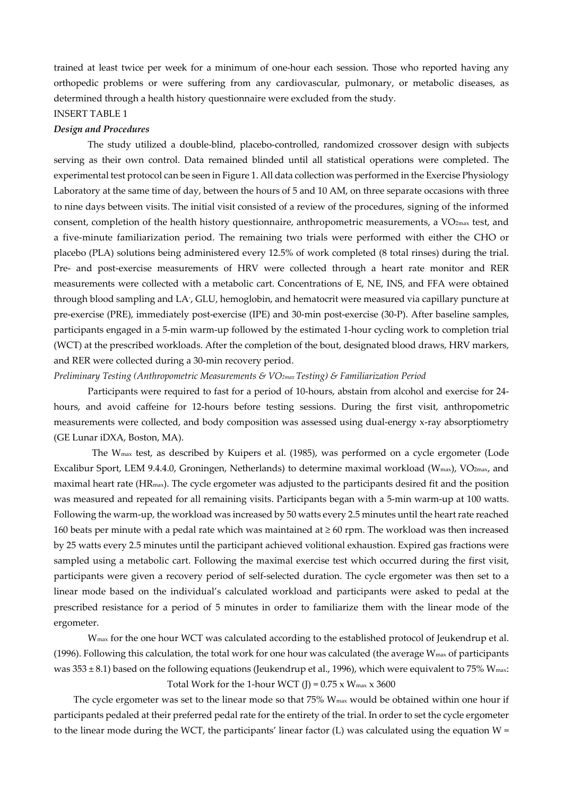trained at least twice per week for a minimum of one-hour each session. Those who reported having any orthopedic problems or were suffering from any cardiovascular, pulmonary, or metabolic diseases, as determined through a health history questionnaire were excluded from the study. INSERT TABLE 1

## *Design and Procedures*

The study utilized a double-blind, placebo-controlled, randomized crossover design with subjects serving as their own control. Data remained blinded until all statistical operations were completed. The experimental test protocol can be seen in Figure 1. All data collection was performed in the Exercise Physiology Laboratory at the same time of day, between the hours of 5 and 10 AM, on three separate occasions with three to nine days between visits. The initial visit consisted of a review of the procedures, signing of the informed consent, completion of the health history questionnaire, anthropometric measurements, a VO<sub>2max</sub> test, and a five-minute familiarization period. The remaining two trials were performed with either the CHO or placebo (PLA) solutions being administered every 12.5% of work completed (8 total rinses) during the trial. Pre- and post-exercise measurements of HRV were collected through a heart rate monitor and RER measurements were collected with a metabolic cart. Concentrations of E, NE, INS, and FFA were obtained through blood sampling and LA- , GLU, hemoglobin, and hematocrit were measured via capillary puncture at pre-exercise (PRE), immediately post-exercise (IPE) and 30-min post-exercise (30-P). After baseline samples, participants engaged in a 5-min warm-up followed by the estimated 1-hour cycling work to completion trial (WCT) at the prescribed workloads. After the completion of the bout, designated blood draws, HRV markers, and RER were collected during a 30-min recovery period.

#### *Preliminary Testing (Anthropometric Measurements & VO2max Testing) & Familiarization Period*

Participants were required to fast for a period of 10-hours, abstain from alcohol and exercise for 24 hours, and avoid caffeine for 12-hours before testing sessions. During the first visit, anthropometric measurements were collected, and body composition was assessed using dual-energy x-ray absorptiometry (GE Lunar iDXA, Boston, MA).

 The Wmax test, as described by Kuipers et al. (1985), was performed on a cycle ergometer (Lode Excalibur Sport, LEM 9.4.4.0, Groningen, Netherlands) to determine maximal workload (Wmax), VO2max, and maximal heart rate (HRmax). The cycle ergometer was adjusted to the participants desired fit and the position was measured and repeated for all remaining visits. Participants began with a 5-min warm-up at 100 watts. Following the warm-up, the workload was increased by 50 watts every 2.5 minutes until the heart rate reached 160 beats per minute with a pedal rate which was maintained at ≥ 60 rpm. The workload was then increased by 25 watts every 2.5 minutes until the participant achieved volitional exhaustion. Expired gas fractions were sampled using a metabolic cart. Following the maximal exercise test which occurred during the first visit, participants were given a recovery period of self-selected duration. The cycle ergometer was then set to a linear mode based on the individual's calculated workload and participants were asked to pedal at the prescribed resistance for a period of 5 minutes in order to familiarize them with the linear mode of the ergometer.

Wmax for the one hour WCT was calculated according to the established protocol of Jeukendrup et al. (1996). Following this calculation, the total work for one hour was calculated (the average  $W_{\text{max}}$  of participants was  $353 \pm 8.1$ ) based on the following equations (Jeukendrup et al., 1996), which were equivalent to 75% W<sub>max</sub>: Total Work for the 1-hour WCT (J) =  $0.75 \times W_{\text{max}} \times 3600$ 

The cycle ergometer was set to the linear mode so that  $75\%$  W<sub>max</sub> would be obtained within one hour if participants pedaled at their preferred pedal rate for the entirety of the trial. In order to set the cycle ergometer to the linear mode during the WCT, the participants' linear factor  $(L)$  was calculated using the equation  $W =$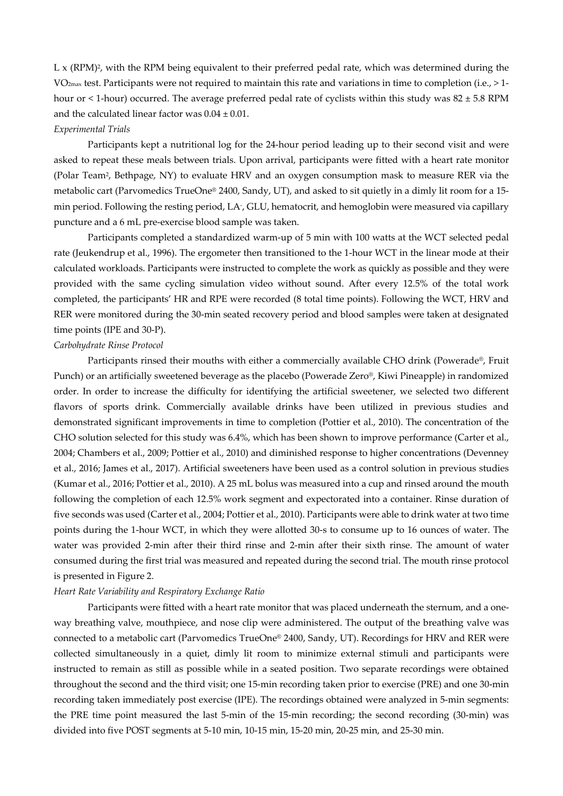$L \times (RPM)^2$ , with the RPM being equivalent to their preferred pedal rate, which was determined during the VO2max test. Participants were not required to maintain this rate and variations in time to completion (i.e., > 1 hour or < 1-hour) occurred. The average preferred pedal rate of cyclists within this study was  $82 \pm 5.8$  RPM and the calculated linear factor was  $0.04 \pm 0.01$ .

#### *Experimental Trials*

Participants kept a nutritional log for the 24-hour period leading up to their second visit and were asked to repeat these meals between trials. Upon arrival, participants were fitted with a heart rate monitor (Polar Team2, Bethpage, NY) to evaluate HRV and an oxygen consumption mask to measure RER via the metabolic cart (Parvomedics TrueOne® 2400, Sandy, UT), and asked to sit quietly in a dimly lit room for a 15 min period. Following the resting period, LA- , GLU, hematocrit, and hemoglobin were measured via capillary puncture and a 6 mL pre-exercise blood sample was taken.

Participants completed a standardized warm-up of 5 min with 100 watts at the WCT selected pedal rate (Jeukendrup et al., 1996). The ergometer then transitioned to the 1-hour WCT in the linear mode at their calculated workloads. Participants were instructed to complete the work as quickly as possible and they were provided with the same cycling simulation video without sound. After every 12.5% of the total work completed, the participants' HR and RPE were recorded (8 total time points). Following the WCT, HRV and RER were monitored during the 30-min seated recovery period and blood samples were taken at designated time points (IPE and 30-P).

#### *Carbohydrate Rinse Protocol*

Participants rinsed their mouths with either a commercially available CHO drink (Powerade®, Fruit Punch) or an artificially sweetened beverage as the placebo (Powerade Zero®, Kiwi Pineapple) in randomized order. In order to increase the difficulty for identifying the artificial sweetener, we selected two different flavors of sports drink. Commercially available drinks have been utilized in previous studies and demonstrated significant improvements in time to completion (Pottier et al., 2010). The concentration of the CHO solution selected for this study was 6.4%, which has been shown to improve performance (Carter et al., 2004; Chambers et al., 2009; Pottier et al., 2010) and diminished response to higher concentrations (Devenney et al., 2016; James et al., 2017). Artificial sweeteners have been used as a control solution in previous studies (Kumar et al., 2016; Pottier et al., 2010). A 25 mL bolus was measured into a cup and rinsed around the mouth following the completion of each 12.5% work segment and expectorated into a container. Rinse duration of five seconds was used (Carter et al., 2004; Pottier et al., 2010). Participants were able to drink water at two time points during the 1-hour WCT, in which they were allotted 30-s to consume up to 16 ounces of water. The water was provided 2-min after their third rinse and 2-min after their sixth rinse. The amount of water consumed during the first trial was measured and repeated during the second trial. The mouth rinse protocol is presented in Figure 2.

#### *Heart Rate Variability and Respiratory Exchange Ratio*

Participants were fitted with a heart rate monitor that was placed underneath the sternum, and a oneway breathing valve, mouthpiece, and nose clip were administered. The output of the breathing valve was connected to a metabolic cart (Parvomedics TrueOne® 2400, Sandy, UT). Recordings for HRV and RER were collected simultaneously in a quiet, dimly lit room to minimize external stimuli and participants were instructed to remain as still as possible while in a seated position. Two separate recordings were obtained throughout the second and the third visit; one 15-min recording taken prior to exercise (PRE) and one 30-min recording taken immediately post exercise (IPE). The recordings obtained were analyzed in 5-min segments: the PRE time point measured the last 5-min of the 15-min recording; the second recording (30-min) was divided into five POST segments at 5-10 min, 10-15 min, 15-20 min, 20-25 min, and 25-30 min.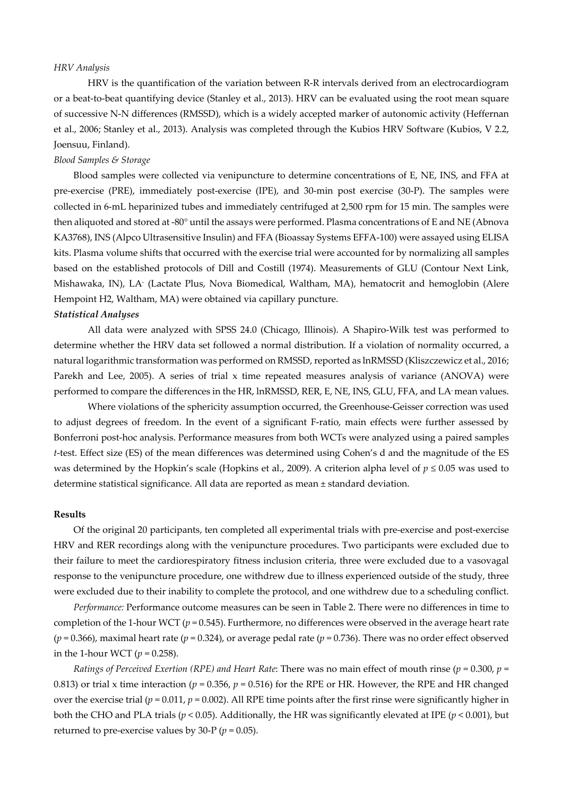#### *HRV Analysis*

HRV is the quantification of the variation between R-R intervals derived from an electrocardiogram or a beat-to-beat quantifying device (Stanley et al., 2013). HRV can be evaluated using the root mean square of successive N-N differences (RMSSD), which is a widely accepted marker of autonomic activity (Heffernan et al., 2006; Stanley et al., 2013). Analysis was completed through the Kubios HRV Software (Kubios, V 2.2, Joensuu, Finland).

#### *Blood Samples & Storage*

Blood samples were collected via venipuncture to determine concentrations of E, NE, INS, and FFA at pre-exercise (PRE), immediately post-exercise (IPE), and 30-min post exercise (30-P). The samples were collected in 6-mL heparinized tubes and immediately centrifuged at 2,500 rpm for 15 min. The samples were then aliquoted and stored at -80° until the assays were performed. Plasma concentrations of E and NE (Abnova KA3768), INS (Alpco Ultrasensitive Insulin) and FFA (Bioassay Systems EFFA-100) were assayed using ELISA kits. Plasma volume shifts that occurred with the exercise trial were accounted for by normalizing all samples based on the established protocols of Dill and Costill (1974). Measurements of GLU (Contour Next Link, Mishawaka, IN), LA- (Lactate Plus, Nova Biomedical, Waltham, MA), hematocrit and hemoglobin (Alere Hempoint H2, Waltham, MA) were obtained via capillary puncture.

#### *Statistical Analyses*

All data were analyzed with SPSS 24.0 (Chicago, Illinois). A Shapiro-Wilk test was performed to determine whether the HRV data set followed a normal distribution. If a violation of normality occurred, a natural logarithmic transformation was performed on RMSSD, reported as lnRMSSD (Kliszczewicz et al., 2016; Parekh and Lee, 2005). A series of trial x time repeated measures analysis of variance (ANOVA) were performed to compare the differences in the HR, lnRMSSD, RER, E, NE, INS, GLU, FFA, and LA- mean values.

Where violations of the sphericity assumption occurred, the Greenhouse-Geisser correction was used to adjust degrees of freedom. In the event of a significant F-ratio, main effects were further assessed by Bonferroni post-hoc analysis. Performance measures from both WCTs were analyzed using a paired samples *t*-test. Effect size (ES) of the mean differences was determined using Cohen's d and the magnitude of the ES was determined by the Hopkin's scale (Hopkins et al., 2009). A criterion alpha level of *p* ≤ 0.05 was used to determine statistical significance. All data are reported as mean ± standard deviation.

#### **Results**

Of the original 20 participants, ten completed all experimental trials with pre-exercise and post-exercise HRV and RER recordings along with the venipuncture procedures. Two participants were excluded due to their failure to meet the cardiorespiratory fitness inclusion criteria, three were excluded due to a vasovagal response to the venipuncture procedure, one withdrew due to illness experienced outside of the study, three were excluded due to their inability to complete the protocol, and one withdrew due to a scheduling conflict.

*Performance:* Performance outcome measures can be seen in Table 2. There were no differences in time to completion of the 1-hour WCT (*p* = 0.545). Furthermore, no differences were observed in the average heart rate (*p* = 0.366), maximal heart rate (*p* = 0.324), or average pedal rate (*p* = 0.736). There was no order effect observed in the 1-hour WCT ( $p = 0.258$ ).

*Ratings of Perceived Exertion (RPE) and Heart Rate*: There was no main effect of mouth rinse (*p* = 0.300, *p* = 0.813) or trial x time interaction ( $p = 0.356$ ,  $p = 0.516$ ) for the RPE or HR. However, the RPE and HR changed over the exercise trial ( $p = 0.011$ ,  $p = 0.002$ ). All RPE time points after the first rinse were significantly higher in both the CHO and PLA trials ( $p < 0.05$ ). Additionally, the HR was significantly elevated at IPE ( $p < 0.001$ ), but returned to pre-exercise values by 30-P ( $p = 0.05$ ).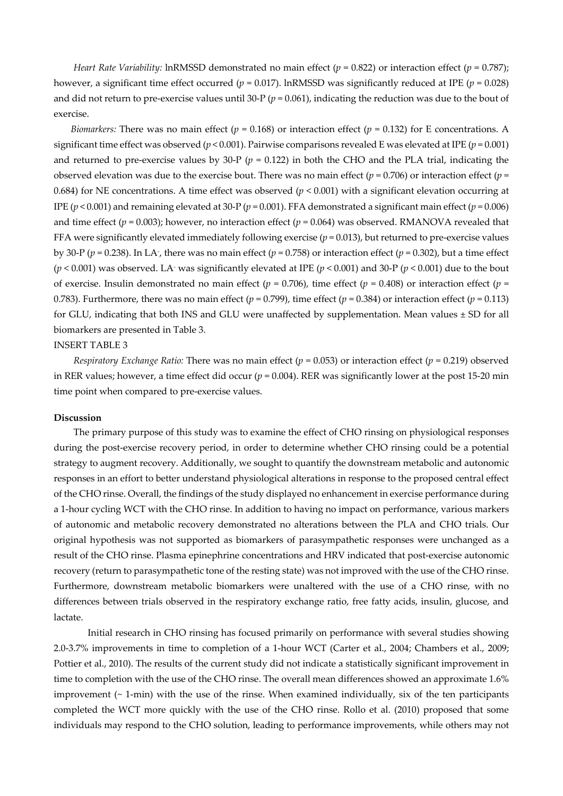*Heart Rate Variability:* lnRMSSD demonstrated no main effect ( $p = 0.822$ ) or interaction effect ( $p = 0.787$ ); however, a significant time effect occurred ( $p = 0.017$ ). lnRMSSD was significantly reduced at IPE ( $p = 0.028$ ) and did not return to pre-exercise values until 30-P (*p* = 0.061), indicating the reduction was due to the bout of exercise.

*Biomarkers:* There was no main effect ( $p = 0.168$ ) or interaction effect ( $p = 0.132$ ) for E concentrations. A significant time effect was observed ( $p < 0.001$ ). Pairwise comparisons revealed E was elevated at IPE ( $p = 0.001$ ) and returned to pre-exercise values by 30-P ( $p = 0.122$ ) in both the CHO and the PLA trial, indicating the observed elevation was due to the exercise bout. There was no main effect ( $p = 0.706$ ) or interaction effect ( $p = 0.706$ ) 0.684) for NE concentrations. A time effect was observed (*p* < 0.001) with a significant elevation occurring at IPE  $(p < 0.001)$  and remaining elevated at 30-P  $(p = 0.001)$ . FFA demonstrated a significant main effect  $(p = 0.006)$ and time effect ( $p = 0.003$ ); however, no interaction effect ( $p = 0.064$ ) was observed. RMANOVA revealed that FFA were significantly elevated immediately following exercise (*p* = 0.013), but returned to pre-exercise values by 30-P (*p* = 0.238). In LA- , there was no main effect (*p* = 0.758) or interaction effect (*p* = 0.302), but a time effect  $(p < 0.001)$  was observed. LA<sup>-</sup> was significantly elevated at IPE  $(p < 0.001)$  and 30-P  $(p < 0.001)$  due to the bout of exercise. Insulin demonstrated no main effect ( $p = 0.706$ ), time effect ( $p = 0.408$ ) or interaction effect ( $p =$ 0.783). Furthermore, there was no main effect ( $p = 0.799$ ), time effect ( $p = 0.384$ ) or interaction effect ( $p = 0.113$ ) for GLU, indicating that both INS and GLU were unaffected by supplementation. Mean values ± SD for all biomarkers are presented in Table 3.

#### INSERT TABLE 3

*Respiratory Exchange Ratio:* There was no main effect (*p* = 0.053) or interaction effect (*p* = 0.219) observed in RER values; however, a time effect did occur ( $p = 0.004$ ). RER was significantly lower at the post 15-20 min time point when compared to pre-exercise values.

#### **Discussion**

The primary purpose of this study was to examine the effect of CHO rinsing on physiological responses during the post-exercise recovery period, in order to determine whether CHO rinsing could be a potential strategy to augment recovery. Additionally, we sought to quantify the downstream metabolic and autonomic responses in an effort to better understand physiological alterations in response to the proposed central effect of the CHO rinse. Overall, the findings of the study displayed no enhancement in exercise performance during a 1-hour cycling WCT with the CHO rinse. In addition to having no impact on performance, various markers of autonomic and metabolic recovery demonstrated no alterations between the PLA and CHO trials. Our original hypothesis was not supported as biomarkers of parasympathetic responses were unchanged as a result of the CHO rinse. Plasma epinephrine concentrations and HRV indicated that post-exercise autonomic recovery (return to parasympathetic tone of the resting state) was not improved with the use of the CHO rinse. Furthermore, downstream metabolic biomarkers were unaltered with the use of a CHO rinse, with no differences between trials observed in the respiratory exchange ratio, free fatty acids, insulin, glucose, and lactate.

Initial research in CHO rinsing has focused primarily on performance with several studies showing 2.0-3.7% improvements in time to completion of a 1-hour WCT (Carter et al., 2004; Chambers et al., 2009; Pottier et al., 2010). The results of the current study did not indicate a statistically significant improvement in time to completion with the use of the CHO rinse. The overall mean differences showed an approximate 1.6% improvement  $($   $\sim$  1-min) with the use of the rinse. When examined individually, six of the ten participants completed the WCT more quickly with the use of the CHO rinse. Rollo et al. (2010) proposed that some individuals may respond to the CHO solution, leading to performance improvements, while others may not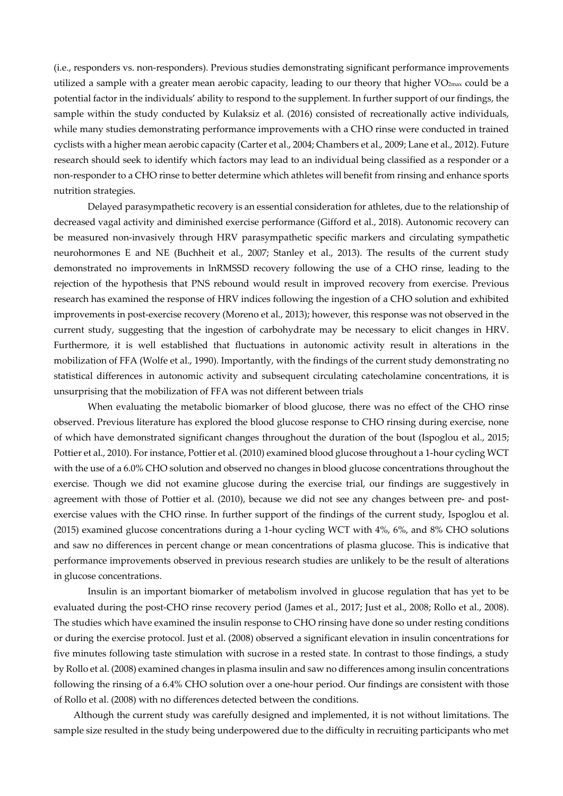(i.e., responders vs. non-responders). Previous studies demonstrating significant performance improvements utilized a sample with a greater mean aerobic capacity, leading to our theory that higher VO2max could be a potential factor in the individuals' ability to respond to the supplement. In further support of our findings, the sample within the study conducted by Kulaksiz et al. (2016) consisted of recreationally active individuals, while many studies demonstrating performance improvements with a CHO rinse were conducted in trained cyclists with a higher mean aerobic capacity (Carter et al., 2004; Chambers et al., 2009; Lane et al., 2012). Future research should seek to identify which factors may lead to an individual being classified as a responder or a non-responder to a CHO rinse to better determine which athletes will benefit from rinsing and enhance sports nutrition strategies.

Delayed parasympathetic recovery is an essential consideration for athletes, due to the relationship of decreased vagal activity and diminished exercise performance (Gifford et al., 2018). Autonomic recovery can be measured non-invasively through HRV parasympathetic specific markers and circulating sympathetic neurohormones E and NE (Buchheit et al., 2007; Stanley et al., 2013). The results of the current study demonstrated no improvements in lnRMSSD recovery following the use of a CHO rinse, leading to the rejection of the hypothesis that PNS rebound would result in improved recovery from exercise. Previous research has examined the response of HRV indices following the ingestion of a CHO solution and exhibited improvements in post-exercise recovery (Moreno et al., 2013); however, this response was not observed in the current study, suggesting that the ingestion of carbohydrate may be necessary to elicit changes in HRV. Furthermore, it is well established that fluctuations in autonomic activity result in alterations in the mobilization of FFA (Wolfe et al., 1990). Importantly, with the findings of the current study demonstrating no statistical differences in autonomic activity and subsequent circulating catecholamine concentrations, it is unsurprising that the mobilization of FFA was not different between trials

When evaluating the metabolic biomarker of blood glucose, there was no effect of the CHO rinse observed. Previous literature has explored the blood glucose response to CHO rinsing during exercise, none of which have demonstrated significant changes throughout the duration of the bout (Ispoglou et al., 2015; Pottier et al., 2010). For instance, Pottier et al. (2010) examined blood glucose throughout a 1-hour cycling WCT with the use of a 6.0% CHO solution and observed no changes in blood glucose concentrations throughout the exercise. Though we did not examine glucose during the exercise trial, our findings are suggestively in agreement with those of Pottier et al. (2010), because we did not see any changes between pre- and postexercise values with the CHO rinse. In further support of the findings of the current study, Ispoglou et al. (2015) examined glucose concentrations during a 1-hour cycling WCT with 4%, 6%, and 8% CHO solutions and saw no differences in percent change or mean concentrations of plasma glucose. This is indicative that performance improvements observed in previous research studies are unlikely to be the result of alterations in glucose concentrations.

Insulin is an important biomarker of metabolism involved in glucose regulation that has yet to be evaluated during the post-CHO rinse recovery period (James et al., 2017; Just et al., 2008; Rollo et al., 2008). The studies which have examined the insulin response to CHO rinsing have done so under resting conditions or during the exercise protocol. Just et al. (2008) observed a significant elevation in insulin concentrations for five minutes following taste stimulation with sucrose in a rested state. In contrast to those findings, a study by Rollo et al. (2008) examined changes in plasma insulin and saw no differences among insulin concentrations following the rinsing of a 6.4% CHO solution over a one-hour period. Our findings are consistent with those of Rollo et al. (2008) with no differences detected between the conditions.

Although the current study was carefully designed and implemented, it is not without limitations. The sample size resulted in the study being underpowered due to the difficulty in recruiting participants who met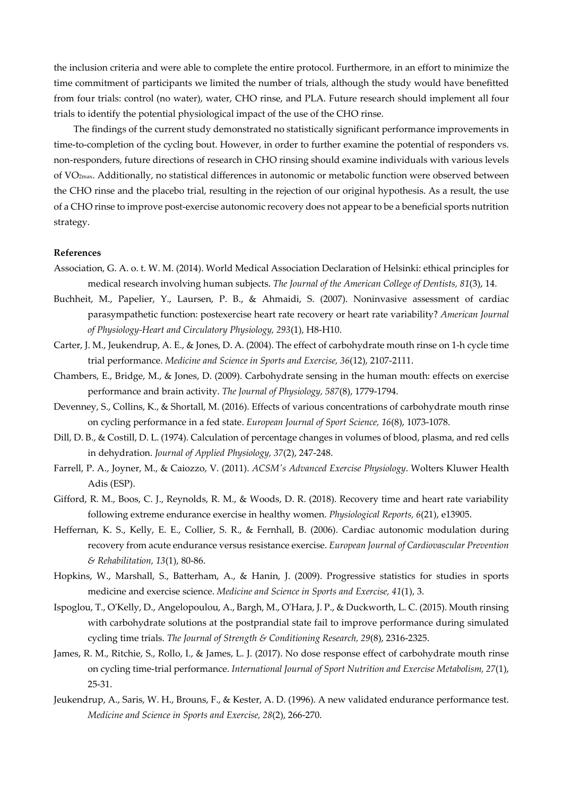the inclusion criteria and were able to complete the entire protocol. Furthermore, in an effort to minimize the time commitment of participants we limited the number of trials, although the study would have benefitted from four trials: control (no water), water, CHO rinse, and PLA. Future research should implement all four trials to identify the potential physiological impact of the use of the CHO rinse.

The findings of the current study demonstrated no statistically significant performance improvements in time-to-completion of the cycling bout. However, in order to further examine the potential of responders vs. non-responders, future directions of research in CHO rinsing should examine individuals with various levels of VO2max. Additionally, no statistical differences in autonomic or metabolic function were observed between the CHO rinse and the placebo trial, resulting in the rejection of our original hypothesis. As a result, the use of a CHO rinse to improve post-exercise autonomic recovery does not appear to be a beneficial sports nutrition strategy.

#### **References**

- Association, G. A. o. t. W. M. (2014). World Medical Association Declaration of Helsinki: ethical principles for medical research involving human subjects. *The Journal of the American College of Dentists, 81*(3), 14.
- Buchheit, M., Papelier, Y., Laursen, P. B., & Ahmaidi, S. (2007). Noninvasive assessment of cardiac parasympathetic function: postexercise heart rate recovery or heart rate variability? *American Journal of Physiology-Heart and Circulatory Physiology, 293*(1), H8-H10.
- Carter, J. M., Jeukendrup, A. E., & Jones, D. A. (2004). The effect of carbohydrate mouth rinse on 1-h cycle time trial performance. *Medicine and Science in Sports and Exercise, 36*(12), 2107-2111.
- Chambers, E., Bridge, M., & Jones, D. (2009). Carbohydrate sensing in the human mouth: effects on exercise performance and brain activity. *The Journal of Physiology, 587*(8), 1779-1794.
- Devenney, S., Collins, K., & Shortall, M. (2016). Effects of various concentrations of carbohydrate mouth rinse on cycling performance in a fed state. *European Journal of Sport Science, 16*(8), 1073-1078.
- Dill, D. B., & Costill, D. L. (1974). Calculation of percentage changes in volumes of blood, plasma, and red cells in dehydration. *Journal of Applied Physiology, 37*(2), 247-248.
- Farrell, P. A., Joyner, M., & Caiozzo, V. (2011). *ACSM's Advanced Exercise Physiology*. Wolters Kluwer Health Adis (ESP).
- Gifford, R. M., Boos, C. J., Reynolds, R. M., & Woods, D. R. (2018). Recovery time and heart rate variability following extreme endurance exercise in healthy women. *Physiological Reports, 6*(21), e13905.
- Heffernan, K. S., Kelly, E. E., Collier, S. R., & Fernhall, B. (2006). Cardiac autonomic modulation during recovery from acute endurance versus resistance exercise. *European Journal of Cardiovascular Prevention & Rehabilitation, 13*(1), 80-86.
- Hopkins, W., Marshall, S., Batterham, A., & Hanin, J. (2009). Progressive statistics for studies in sports medicine and exercise science. *Medicine and Science in Sports and Exercise, 41*(1), 3.
- Ispoglou, T., O'Kelly, D., Angelopoulou, A., Bargh, M., O'Hara, J. P., & Duckworth, L. C. (2015). Mouth rinsing with carbohydrate solutions at the postprandial state fail to improve performance during simulated cycling time trials. *The Journal of Strength & Conditioning Research, 29*(8), 2316-2325.
- James, R. M., Ritchie, S., Rollo, I., & James, L. J. (2017). No dose response effect of carbohydrate mouth rinse on cycling time-trial performance. *International Journal of Sport Nutrition and Exercise Metabolism, 27*(1), 25-31.
- Jeukendrup, A., Saris, W. H., Brouns, F., & Kester, A. D. (1996). A new validated endurance performance test. *Medicine and Science in Sports and Exercise, 28*(2), 266-270.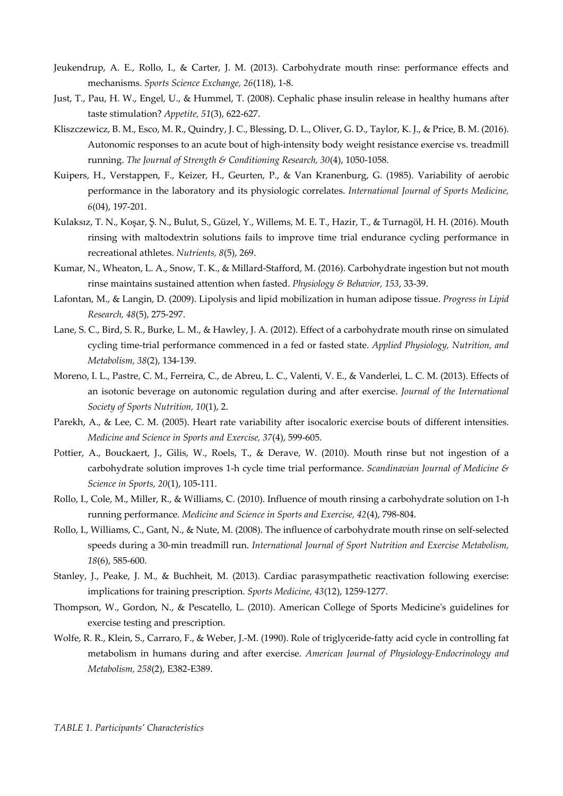- Jeukendrup, A. E., Rollo, I., & Carter, J. M. (2013). Carbohydrate mouth rinse: performance effects and mechanisms. *Sports Science Exchange, 26*(118), 1-8.
- Just, T., Pau, H. W., Engel, U., & Hummel, T. (2008). Cephalic phase insulin release in healthy humans after taste stimulation? *Appetite, 51*(3), 622-627.
- Kliszczewicz, B. M., Esco, M. R., Quindry, J. C., Blessing, D. L., Oliver, G. D., Taylor, K. J., & Price, B. M. (2016). Autonomic responses to an acute bout of high-intensity body weight resistance exercise vs. treadmill running. *The Journal of Strength & Conditioning Research, 30*(4), 1050-1058.
- Kuipers, H., Verstappen, F., Keizer, H., Geurten, P., & Van Kranenburg, G. (1985). Variability of aerobic performance in the laboratory and its physiologic correlates. *International Journal of Sports Medicine, 6*(04), 197-201.
- Kulaksız, T. N., Koşar, Ş. N., Bulut, S., Güzel, Y., Willems, M. E. T., Hazir, T., & Turnagöl, H. H. (2016). Mouth rinsing with maltodextrin solutions fails to improve time trial endurance cycling performance in recreational athletes. *Nutrients, 8*(5), 269.
- Kumar, N., Wheaton, L. A., Snow, T. K., & Millard-Stafford, M. (2016). Carbohydrate ingestion but not mouth rinse maintains sustained attention when fasted. *Physiology & Behavior, 153*, 33-39.
- Lafontan, M., & Langin, D. (2009). Lipolysis and lipid mobilization in human adipose tissue. *Progress in Lipid Research, 48*(5), 275-297.
- Lane, S. C., Bird, S. R., Burke, L. M., & Hawley, J. A. (2012). Effect of a carbohydrate mouth rinse on simulated cycling time-trial performance commenced in a fed or fasted state. *Applied Physiology, Nutrition, and Metabolism, 38*(2), 134-139.
- Moreno, I. L., Pastre, C. M., Ferreira, C., de Abreu, L. C., Valenti, V. E., & Vanderlei, L. C. M. (2013). Effects of an isotonic beverage on autonomic regulation during and after exercise. *Journal of the International Society of Sports Nutrition, 10*(1), 2.
- Parekh, A., & Lee, C. M. (2005). Heart rate variability after isocaloric exercise bouts of different intensities. *Medicine and Science in Sports and Exercise, 37*(4), 599-605.
- Pottier, A., Bouckaert, J., Gilis, W., Roels, T., & Derave, W. (2010). Mouth rinse but not ingestion of a carbohydrate solution improves 1-h cycle time trial performance. *Scandinavian Journal of Medicine & Science in Sports, 20*(1), 105-111.
- Rollo, I., Cole, M., Miller, R., & Williams, C. (2010). Influence of mouth rinsing a carbohydrate solution on 1-h running performance. *Medicine and Science in Sports and Exercise, 42*(4), 798-804.
- Rollo, I., Williams, C., Gant, N., & Nute, M. (2008). The influence of carbohydrate mouth rinse on self-selected speeds during a 30-min treadmill run. *International Journal of Sport Nutrition and Exercise Metabolism, 18*(6), 585-600.
- Stanley, J., Peake, J. M., & Buchheit, M. (2013). Cardiac parasympathetic reactivation following exercise: implications for training prescription. *Sports Medicine, 43*(12), 1259-1277.
- Thompson, W., Gordon, N., & Pescatello, L. (2010). American College of Sports Medicine's guidelines for exercise testing and prescription.
- Wolfe, R. R., Klein, S., Carraro, F., & Weber, J.-M. (1990). Role of triglyceride-fatty acid cycle in controlling fat metabolism in humans during and after exercise. *American Journal of Physiology-Endocrinology and Metabolism, 258*(2), E382-E389.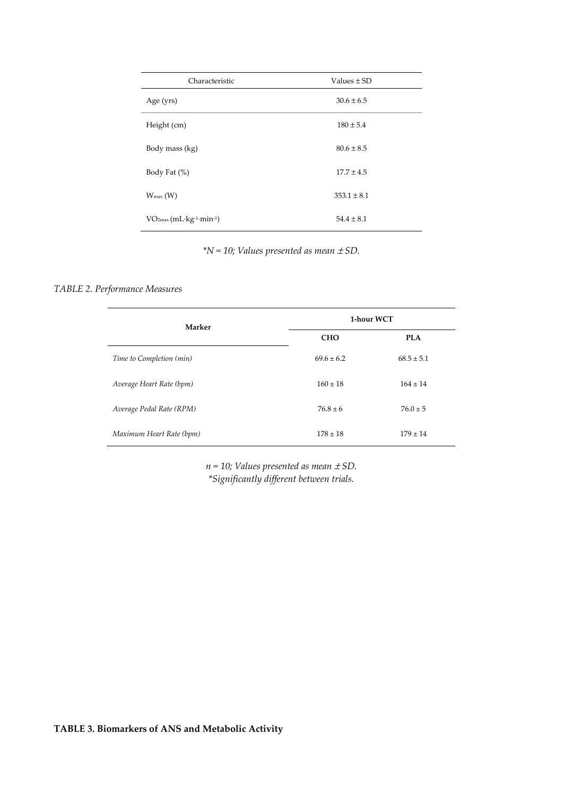| Characteristic           | Values $\pm$ SD |  |  |  |
|--------------------------|-----------------|--|--|--|
| Age (yrs)                | $30.6 \pm 6.5$  |  |  |  |
| Height (cm)              | $180 \pm 5.4$   |  |  |  |
| Body mass (kg)           | $80.6 \pm 8.5$  |  |  |  |
| Body Fat (%)             | $17.7 \pm 4.5$  |  |  |  |
| $W_{\text{max}}(W)$      | $353.1 \pm 8.1$ |  |  |  |
| $VO2max (mL·kg-1·min-1)$ | $54.4 \pm 8.1$  |  |  |  |

*\*N = 10; Values presented as mean* ± *SD.* 

### *TABLE 2. Performance Measures*

| Marker                   | 1-hour WCT     |                |  |  |
|--------------------------|----------------|----------------|--|--|
|                          | <b>CHO</b>     | <b>PLA</b>     |  |  |
| Time to Completion (min) | $69.6 \pm 6.2$ | $68.5 \pm 5.1$ |  |  |
| Average Heart Rate (bpm) | $160 \pm 18$   | $164 \pm 14$   |  |  |
| Average Pedal Rate (RPM) | $76.8 \pm 6$   | $76.0 \pm 5$   |  |  |
| Maximum Heart Rate (bpm) | $178 \pm 18$   | $179 \pm 14$   |  |  |

 $n = 10$ ; Values presented as mean  $\pm$  SD. *\*Significantly different between trials.*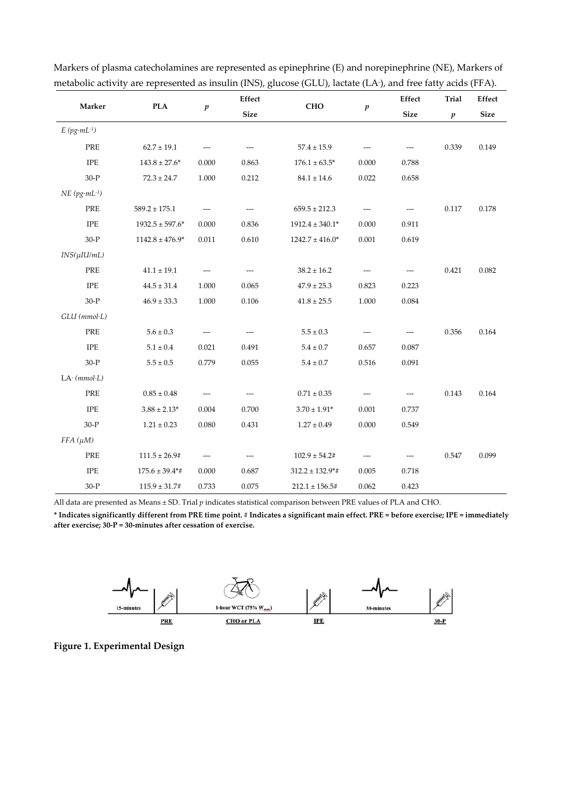| Marker             |                     | $\boldsymbol{p}$ | Effect      | <b>CHO</b>           | $\boldsymbol{p}$ | Effect              | <b>Trial</b>     | Effect      |
|--------------------|---------------------|------------------|-------------|----------------------|------------------|---------------------|------------------|-------------|
|                    | <b>PLA</b>          |                  | <b>Size</b> |                      |                  | <b>Size</b>         | $\boldsymbol{p}$ | <b>Size</b> |
| $E(pg·mL^{-1})$    |                     |                  |             |                      |                  |                     |                  |             |
| PRE                | $62.7 \pm 19.1$     |                  |             | $57.4 \pm 15.9$      |                  |                     | 0.339            | 0.149       |
| <b>IPE</b>         | $143.8 \pm 27.6^*$  | 0.000            | 0.863       | $176.1 \pm 63.5^*$   | 0.000            | 0.788               |                  |             |
| $30-P$             | $72.3 \pm 24.7$     | 1.000            | 0.212       | $84.1 \pm 14.6$      | 0.022            | 0.658               |                  |             |
| $NE (pg·mL^{-1})$  |                     |                  |             |                      |                  |                     |                  |             |
| PRE                | $589.2 \pm 175.1$   |                  |             | $659.5 \pm 212.3$    |                  |                     | 0.117            | 0.178       |
| <b>IPE</b>         | $1932.5 \pm 597.6*$ | 0.000            | 0.836       | $1912.4 \pm 340.1^*$ | 0.000            | 0.911               |                  |             |
| $30-P$             | $1142.8 \pm 476.9*$ | 0.011            | 0.610       | $1242.7 \pm 416.0*$  | 0.001            | 0.619               |                  |             |
| $INS(\mu I U/mL)$  |                     |                  |             |                      |                  |                     |                  |             |
| PRE                | $41.1 \pm 19.1$     | $---$            | ---         | $38.2 \pm 16.2$      | ---              | $---$               | 0.421            | 0.082       |
| <b>IPE</b>         | $44.5 \pm 31.4$     | 1.000            | 0.065       | $47.9 \pm 25.3$      | 0.823            | 0.223               |                  |             |
| $30-P$             | $46.9 \pm 33.3$     | 1.000            | 0.106       | $41.8 \pm 25.5$      | 1.000            | 0.084               |                  |             |
| $GLU$ ( $mmol·L$ ) |                     |                  |             |                      |                  |                     |                  |             |
| PRE                | $5.6 \pm 0.3$       | $---$            | ---         | $5.5\pm0.3$          | ---              | $---$               | 0.356            | 0.164       |
| <b>IPE</b>         | $5.1\pm0.4$         | 0.021            | 0.491       | $5.4 \pm 0.7$        | 0.657            | 0.087               |                  |             |
| $30-P$             | $5.5 \pm 0.5$       | 0.779            | 0.055       | $5.4 \pm 0.7$        | 0.516            | 0.091               |                  |             |
| $LA- (mmol·L)$     |                     |                  |             |                      |                  |                     |                  |             |
| PRE                | $0.85\pm0.48$       |                  |             | $0.71\pm0.35$        |                  | $\qquad \qquad - -$ | 0.143            | 0.164       |
| <b>IPE</b>         | $3.88 \pm 2.13*$    | 0.004            | 0.700       | $3.70 \pm 1.91*$     | 0.001            | 0.737               |                  |             |
| $30-P$             | $1.21 \pm 0.23$     | 0.080            | 0.431       | $1.27\pm0.49$        | 0.000            | 0.549               |                  |             |
| $FFA(\mu M)$       |                     |                  |             |                      |                  |                     |                  |             |
| PRE                | $111.5 \pm 26.9$ #  | $---$            | ---         | $102.9 \pm 54.2$ #   | ---              | ---                 | 0.547            | 0.099       |
| <b>IPE</b>         | $175.6 \pm 39.4**$  | 0.000            | 0.687       | $312.2 \pm 132.9$ *# | 0.005            | 0.718               |                  |             |
| $30-P$             | $115.9 \pm 31.7$ #  | 0.733            | 0.075       | $212.1 \pm 156.5#$   | 0.062            | 0.423               |                  |             |

Markers of plasma catecholamines are represented as epinephrine (E) and norepinephrine (NE), Markers of metabolic activity are represented as insulin (INS), glucose (GLU), lactate (LA- ), and free fatty acids (FFA).

All data are presented as Means ± SD. Trial *p* indicates statistical comparison between PRE values of PLA and CHO.

**\* Indicates significantly different from PRE time point. # Indicates a significant main effect. PRE = before exercise; IPE = immediately after exercise; 30-P = 30-minutes after cessation of exercise.**



**Figure 1. Experimental Design**